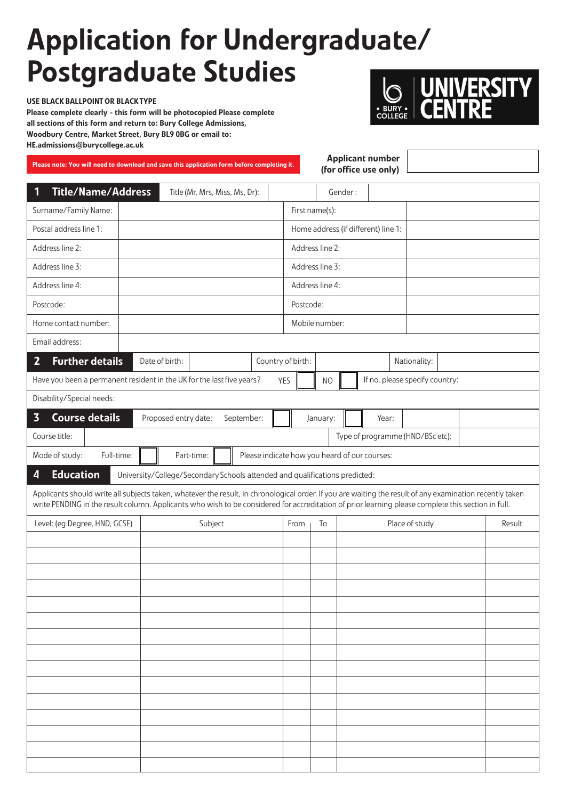## Application for Undergraduate/ Postgraduate Studies

USE BLACK BALLPOINT OR BLACK TYPE Please complete clearly - this form will be photocopied Please complete all sections of this form and return to: Bury College Admissions, Woodbury Centre, Market Street, Bury BL9 0BG or email to: HE.admissions@burycollege.ac.uk

**ERSITY** 

| <b>Applicant number</b><br>Please note: You will need to download and save this application form before completing it.<br>(for office use only)                                                                                                                                                                |                                                         |                                |                                     |                 |         |                                |  |        |  |
|----------------------------------------------------------------------------------------------------------------------------------------------------------------------------------------------------------------------------------------------------------------------------------------------------------------|---------------------------------------------------------|--------------------------------|-------------------------------------|-----------------|---------|--------------------------------|--|--------|--|
| <b>Title/Name/Address</b><br>1                                                                                                                                                                                                                                                                                 |                                                         | Title (Mr, Mrs, Miss, Ms, Dr): |                                     |                 | Gender: |                                |  |        |  |
| Surname/Family Name:                                                                                                                                                                                                                                                                                           |                                                         |                                | First name(s):                      |                 |         |                                |  |        |  |
| Postal address line 1:                                                                                                                                                                                                                                                                                         |                                                         |                                | Home address (if different) line 1: |                 |         |                                |  |        |  |
| Address line 2:                                                                                                                                                                                                                                                                                                |                                                         |                                |                                     | Address line 2: |         |                                |  |        |  |
| Address line 3:                                                                                                                                                                                                                                                                                                | Address line 3:                                         |                                |                                     |                 |         |                                |  |        |  |
| Address line 4:                                                                                                                                                                                                                                                                                                |                                                         |                                |                                     | Address line 4: |         |                                |  |        |  |
| Postcode:                                                                                                                                                                                                                                                                                                      |                                                         |                                |                                     | Postcode:       |         |                                |  |        |  |
| Home contact number:                                                                                                                                                                                                                                                                                           |                                                         |                                | Mobile number:                      |                 |         |                                |  |        |  |
| Email address:                                                                                                                                                                                                                                                                                                 |                                                         |                                |                                     |                 |         |                                |  |        |  |
| $\overline{2}$<br><b>Further details</b>                                                                                                                                                                                                                                                                       | Date of birth:                                          |                                | Country of birth:                   |                 |         | Nationality:                   |  |        |  |
| Have you been a permanent resident in the UK for the last five years?<br><b>YES</b>                                                                                                                                                                                                                            |                                                         |                                |                                     | N <sub>O</sub>  |         | If no, please specify country: |  |        |  |
| Disability/Special needs:                                                                                                                                                                                                                                                                                      |                                                         |                                |                                     |                 |         |                                |  |        |  |
| $\overline{\mathbf{3}}$<br><b>Course details</b>                                                                                                                                                                                                                                                               | Proposed entry date:<br>September:<br>January:<br>Year: |                                |                                     |                 |         |                                |  |        |  |
| Type of programme (HND/BSc etc):<br>Course title:                                                                                                                                                                                                                                                              |                                                         |                                |                                     |                 |         |                                |  |        |  |
| Mode of study:<br>Full-time:<br>Part-time:<br>Please indicate how you heard of our courses:                                                                                                                                                                                                                    |                                                         |                                |                                     |                 |         |                                |  |        |  |
| <b>Education</b><br>$\overline{\mathbf{A}}$<br>University/College/Secondary Schools attended and qualifications predicted:                                                                                                                                                                                     |                                                         |                                |                                     |                 |         |                                |  |        |  |
| Applicants should write all subjects taken, whatever the result, in chronological order. If you are waiting the result of any examination recently taken<br>write PENDING in the result column. Applicants who wish to be considered for accreditation of prior learning please complete this section in full. |                                                         |                                |                                     |                 |         |                                |  |        |  |
| Level: (eg Degree, HND, GCSE)                                                                                                                                                                                                                                                                                  |                                                         | Subject                        | From                                | To              |         | Place of study                 |  | Result |  |
|                                                                                                                                                                                                                                                                                                                |                                                         |                                |                                     |                 |         |                                |  |        |  |
|                                                                                                                                                                                                                                                                                                                |                                                         |                                |                                     |                 |         |                                |  |        |  |
|                                                                                                                                                                                                                                                                                                                |                                                         |                                |                                     |                 |         |                                |  |        |  |
|                                                                                                                                                                                                                                                                                                                |                                                         |                                |                                     |                 |         |                                |  |        |  |
|                                                                                                                                                                                                                                                                                                                |                                                         |                                |                                     |                 |         |                                |  |        |  |
|                                                                                                                                                                                                                                                                                                                |                                                         |                                |                                     |                 |         |                                |  |        |  |
|                                                                                                                                                                                                                                                                                                                |                                                         |                                |                                     |                 |         |                                |  |        |  |
|                                                                                                                                                                                                                                                                                                                |                                                         |                                |                                     |                 |         |                                |  |        |  |
|                                                                                                                                                                                                                                                                                                                |                                                         |                                |                                     |                 |         |                                |  |        |  |
|                                                                                                                                                                                                                                                                                                                |                                                         |                                |                                     |                 |         |                                |  |        |  |
|                                                                                                                                                                                                                                                                                                                |                                                         |                                |                                     |                 |         |                                |  |        |  |
|                                                                                                                                                                                                                                                                                                                |                                                         |                                |                                     |                 |         |                                |  |        |  |
|                                                                                                                                                                                                                                                                                                                |                                                         |                                |                                     |                 |         |                                |  |        |  |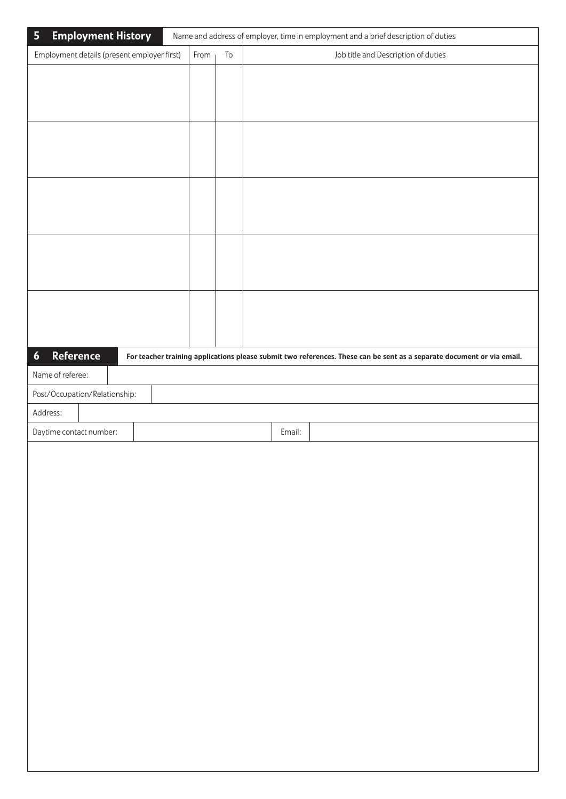| <b>Employment History</b><br>$\overline{\mathbf{5}}$ |      |            |        | Name and address of employer, time in employment and a brief description of duties |                                     |  |                                                                                                                        |
|------------------------------------------------------|------|------------|--------|------------------------------------------------------------------------------------|-------------------------------------|--|------------------------------------------------------------------------------------------------------------------------|
| Employment details (present employer first)          | From | ${\sf To}$ |        |                                                                                    | Job title and Description of duties |  |                                                                                                                        |
|                                                      |      |            |        |                                                                                    |                                     |  |                                                                                                                        |
|                                                      |      |            |        |                                                                                    |                                     |  |                                                                                                                        |
|                                                      |      |            |        |                                                                                    |                                     |  |                                                                                                                        |
|                                                      |      |            |        |                                                                                    |                                     |  |                                                                                                                        |
|                                                      |      |            |        |                                                                                    |                                     |  |                                                                                                                        |
|                                                      |      |            |        |                                                                                    |                                     |  |                                                                                                                        |
|                                                      |      |            |        |                                                                                    |                                     |  |                                                                                                                        |
|                                                      |      |            |        |                                                                                    |                                     |  |                                                                                                                        |
|                                                      |      |            |        |                                                                                    |                                     |  |                                                                                                                        |
|                                                      |      |            |        |                                                                                    |                                     |  |                                                                                                                        |
|                                                      |      |            |        |                                                                                    |                                     |  |                                                                                                                        |
|                                                      |      |            |        |                                                                                    |                                     |  |                                                                                                                        |
|                                                      |      |            |        |                                                                                    |                                     |  |                                                                                                                        |
|                                                      |      |            |        |                                                                                    |                                     |  |                                                                                                                        |
|                                                      |      |            |        |                                                                                    |                                     |  |                                                                                                                        |
|                                                      |      |            |        |                                                                                    |                                     |  |                                                                                                                        |
| <b>Reference</b><br>$\boldsymbol{6}$                 |      |            |        |                                                                                    |                                     |  | For teacher training applications please submit two references. These can be sent as a separate document or via email. |
| Name of referee:                                     |      |            |        |                                                                                    |                                     |  |                                                                                                                        |
| Post/Occupation/Relationship:                        |      |            |        |                                                                                    |                                     |  |                                                                                                                        |
| Address:                                             |      |            |        |                                                                                    |                                     |  |                                                                                                                        |
| Daytime contact number:                              |      |            | Email: |                                                                                    |                                     |  |                                                                                                                        |
|                                                      |      |            |        |                                                                                    |                                     |  |                                                                                                                        |
|                                                      |      |            |        |                                                                                    |                                     |  |                                                                                                                        |
|                                                      |      |            |        |                                                                                    |                                     |  |                                                                                                                        |
|                                                      |      |            |        |                                                                                    |                                     |  |                                                                                                                        |
|                                                      |      |            |        |                                                                                    |                                     |  |                                                                                                                        |
|                                                      |      |            |        |                                                                                    |                                     |  |                                                                                                                        |
|                                                      |      |            |        |                                                                                    |                                     |  |                                                                                                                        |
|                                                      |      |            |        |                                                                                    |                                     |  |                                                                                                                        |
|                                                      |      |            |        |                                                                                    |                                     |  |                                                                                                                        |
|                                                      |      |            |        |                                                                                    |                                     |  |                                                                                                                        |
|                                                      |      |            |        |                                                                                    |                                     |  |                                                                                                                        |
|                                                      |      |            |        |                                                                                    |                                     |  |                                                                                                                        |
|                                                      |      |            |        |                                                                                    |                                     |  |                                                                                                                        |
|                                                      |      |            |        |                                                                                    |                                     |  |                                                                                                                        |
|                                                      |      |            |        |                                                                                    |                                     |  |                                                                                                                        |
|                                                      |      |            |        |                                                                                    |                                     |  |                                                                                                                        |
|                                                      |      |            |        |                                                                                    |                                     |  |                                                                                                                        |
|                                                      |      |            |        |                                                                                    |                                     |  |                                                                                                                        |